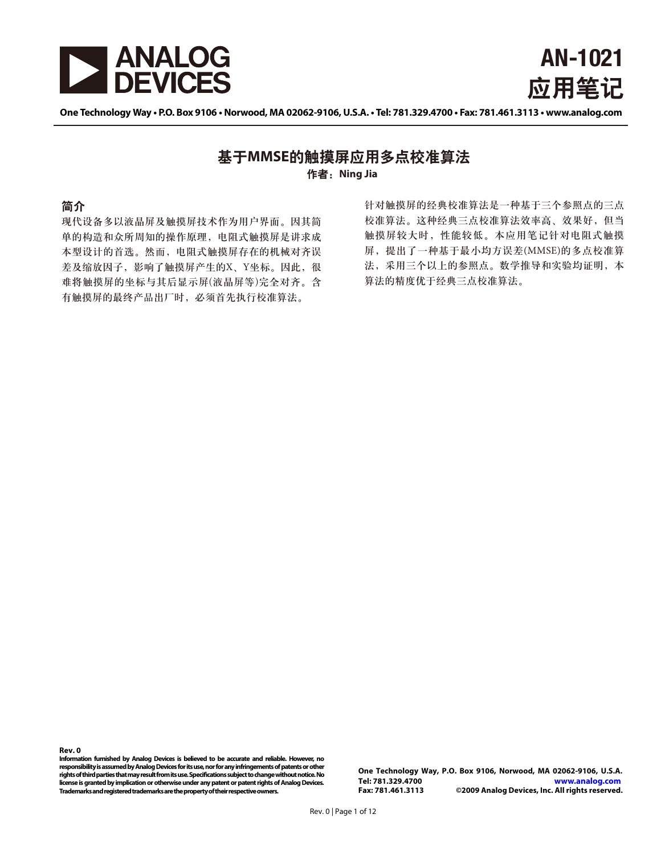



One Technology Way . P.O. Box 9106 . Norwood, MA 02062-9106, U.S.A. . Tel: 781.329.4700 . Fax: 781.461.3113 . www.analog.com

### 作者: Ning Jia 基于MMSE的触摸屏应用多点校准算法

#### 简介

现代设备多以液晶屏及触摸屏技术作为用户界面。因其简 单的构造和众所周知的操作原理,电阻式触摸屏是讲求成 本型设计的首选。然而, 电阻式触摸屏存在的机械对齐误 差及缩放因子,影响了触摸屏产生的X、Y坐标。因此,很 难将触摸屏的坐标与其后显示屏(液晶屏等)完全对齐。含 有触摸屏的最终产品出厂时,必须首先执行校准算法。

针对触摸屏的经典校准算法是一种基于三个参照点的三点 校准算法。这种经典三点校准算法效率高、效果好,但当 触摸屏较大时, 性能较低。本应用笔记针对电阻式触摸 屏, 提出了一种基于最小均方误差(MMSE)的多点校准算 法, 采用三个以上的参照点。数学推导和实验均证明, 本 算法的精度优于经典三点校准算法。

**Rev. 0** 

**Information furnished by Analog Devices is believed to be accurate and reliable. However, no responsibility is assumed by Analog Devices for its use, nor for any infringements of patents or other rights of third parties that may result from its use. Specifications subject to change without notice. No license is granted by implication or otherwise under any patent or patent rights of Analog Devices. Trademarks and registered trademarks are the property of their respective owners.** 

**One Technology Way, P.O. Box 9106, Norwood, MA 02062-9106, U.S.A. Tel: 781.329.4700 www.analog.com** ©2009 Analog Devices, Inc. All rights reserved.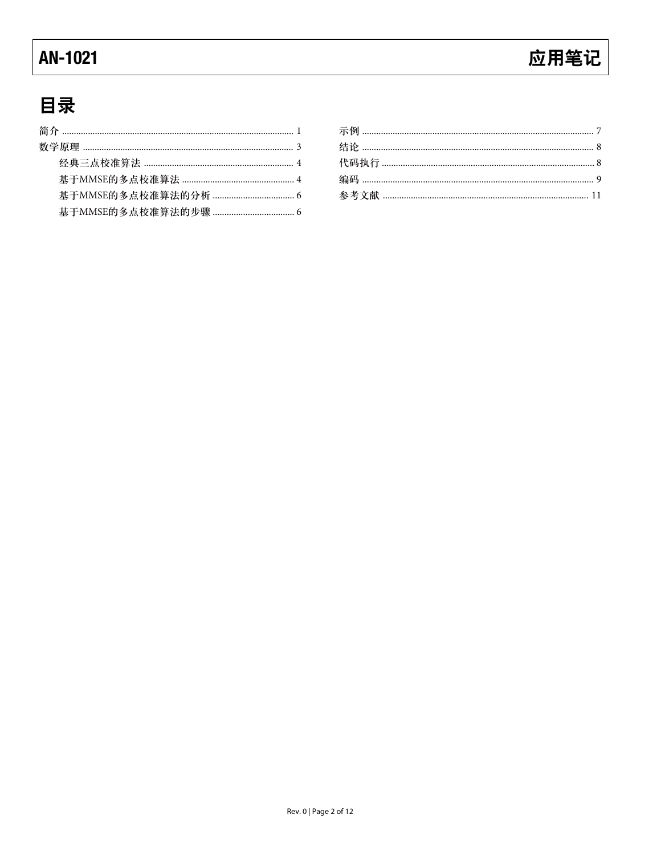### **AN-1021**

# 应用笔记

# 目录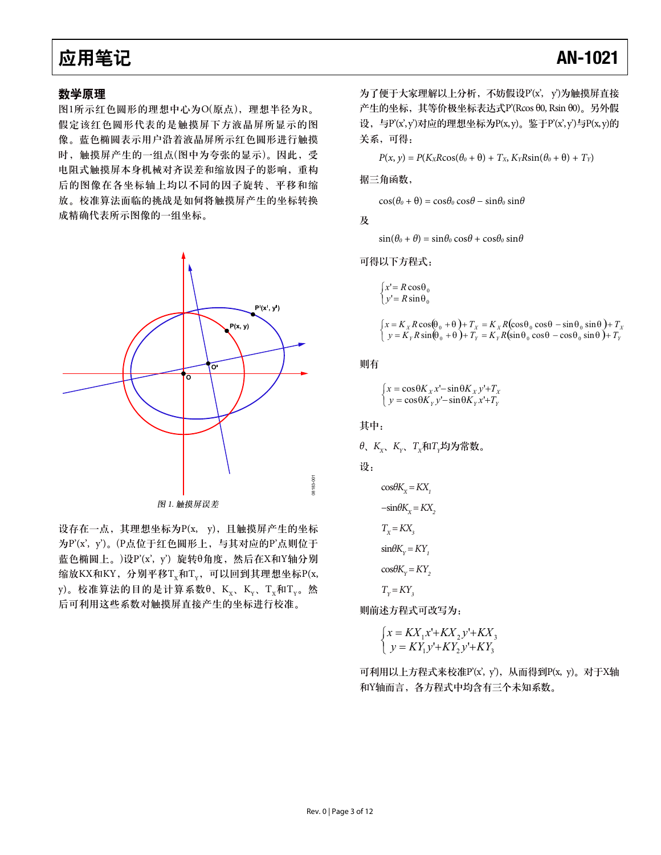#### 数学原理

图1所示红色圆形的理想中心为O(原点), 理想半径为R。 假定该红色圆形代表的是触摸屏下方液晶屏所显示的图 像。蓝色椭圆表示用户沿着液晶屏所示红色圆形进行触摸 时, 触摸屏产生的一组点(图中为夸张的显示)。因此, 受 电阻式触摸屏本身机械对齐误差和缩放因子的影响, 重构 后的图像在各坐标轴上均以不同的因子旋转、平移和缩 放。校准算法面临的挑战是如何将触摸屏产生的坐标转换 成精确代表所示图像的一组坐标。



图 1. 触摸屏误差

设存在一点, 其理想坐标为P(x, y), 且触摸屏产生的坐标 为P'(x', y')。(P点位于红色圆形上, 与其对应的P'点则位于 蓝色椭圆上。)设P'(x', y') 旋转θ角度, 然后在X和Y轴分别 缩放KX和KY, 分别平移T<sub>x</sub>和T<sub>v</sub>, 可以回到其理想坐标P(x, y)。校准算法的目的是计算系数 $\theta$ 、K<sub>v</sub>、K<sub>v</sub>、T<sub>v</sub>和T<sub>v</sub>。然 后可利用这些系数对触摸屏直接产生的坐标进行校准。

为了便于大家理解以上分析, 不妨假设P'(x', y')为触摸屏直接  $\tilde{P}$ 牛的坐标, 其等价极坐标表达式 $P$ (Rcos θ0, Rsin θ0)。另外假 设,与 $P(x', y')$ 对应的理想坐标为 $P(x, y)$ 。鉴于 $P(x', y') = P(x, y)$ 的 关系,可得:

 $P(x, y) = P(K_X R \cos(\theta_0 + \theta) + T_X, K_Y R \sin(\theta_0 + \theta) + T_Y)$ 

据三角函数,

 $\cos(\theta_0 + \theta) = \cos\theta_0 \cos\theta - \sin\theta_0 \sin\theta$ 

及 $\overline{\mathcal{R}}$ 

 $sin(\theta_0 + \theta) = sin\theta_0 cos\theta + cos\theta_0 sin\theta$ 

可得以下方程式:

$$
\begin{cases} x' = R\cos\theta_0 \\ y' = R\sin\theta_0 \end{cases}
$$

$$
\begin{cases} x = K_x R \cos(\theta_0 + \theta) + T_x = K_x R(\cos\theta_0 \cos\theta - \sin\theta_0 \sin\theta) + T_x \\ y = K_y R \sin(\theta_0 + \theta) + T_y = K_y R(\sin\theta_0 \cos\theta - \cos\theta_0 \sin\theta) + T_y \end{cases}
$$

则有

$$
\begin{cases} x = \cos\theta K_x x' - \sin\theta K_x y' + T_x \\ y = \cos\theta K_y y' - \sin\theta K_y x' + T_y \end{cases}
$$

其中:

θ、 $K_x$ ,  $K_y$ ,  $T_x$ 和 $T_y$ 均为常数。

设:

$$
\cos\theta K_x = KX_t
$$
  
\n
$$
-\sin\theta K_x = KX_2
$$
  
\n
$$
T_x = KX_3
$$
  
\n
$$
\sin\theta K_y = KY_1
$$
  
\n
$$
\cos\theta K_y = KY_2
$$
  
\n
$$
T_y = KY_3
$$

则前述方程式可改写为:

$$
\begin{cases} x = K X_1 x' + K X_2 y' + K X_3 \\ y = K Y_1 y' + K Y_2 y' + K Y_3 \end{cases}
$$

可利用以上方程式来校准P'(x', y'), 从而得到P(x, y)。对于X轴 和Y轴而言, 各方程式中均含有三个未知系数。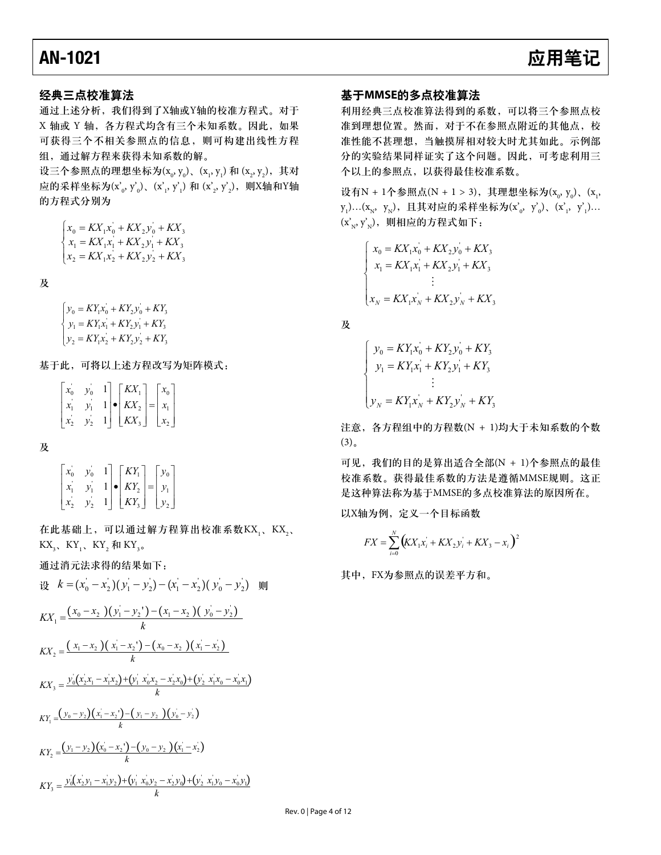### 经典三点校准算法

通过上述分析, 我们得到了X轴或Y轴的校准方程式。对于 X 轴或 Y 轴, 各方程式均含有三个未知系数。因此, 如果 可获得三个不相关参照点的信息, 则可构建出线性方程 组, 通过解方程来获得未知系数的解。

设三个参照点的理想坐标为(x<sub>0</sub>, y<sub>0</sub>)、(x<sub>1</sub>, y<sub>1</sub>) 和 (x<sub>2</sub>, y<sub>2</sub>),其对 应的采样坐标为(x' $_{\rm o}$ , y' $_{\rm o}$ )、(x' $_{\rm i}$ , y' $_{\rm l}$ ) 和 (x' $_{\rm 2}$ , y' $_{\rm 2}$ ),则X轴和Y轴 的方程式分别为

$$
\begin{cases} x_0 = K X_1 x_0 + K X_2 y_0 + K X_3 \\ x_1 = K X_1 x_1 + K X_2 y_1 + K X_3 \\ x_2 = K X_1 x_2 + K X_2 y_2 + K X_3 \end{cases}
$$

 $\mathcal{R}$ 

 $y_2 = KY_1x_2 + KY_2y_2 + KY_3$  $\begin{cases} y_0 & \text{if } x_1, y_0 + x_1, y_0 + x_1, y_0 + x_1, y_0 + x_1, y_0 + x_1, y_0 + x_1, y_0 + x_1, y_0 + x_1, y_0 + x_1, y_0 + x_1, y_0 + x_1, y_0 + x_1, y_0 + x_1, y_0 + x_1, y_0 + x_1, y_0 + x_1, y_0 + x_1, y_0 + x_1, y_0 + x_1, y_0 + x_1, y_0 + x_1, y_0 + x_1, y_0 + x_1, y_0 + x_1, y_0 + x_1, y_$  $y_0 = KY_1x_0 + KY_2y_0 + KY_3$ 

基于此,可将以上述方程改写为矩阵模式:

| $x_{0}$       | $y_0$           | $1 \mid \lceil K X_1 \rceil$                     | $\vert x_0 \vert$ |
|---------------|-----------------|--------------------------------------------------|-------------------|
| $\mathcal{X}$ | $\mathcal{V}_1$ | $1 \mid \bullet \mid K X_2 \mid = \mid x_1 \mid$ |                   |
|               |                 | $1 \mid K X_3 \mid x_2 \mid$                     |                   |

 $\mathcal{R}$ 

 $\overline{\phantom{a}}$  $\overline{\phantom{a}}$  $\overline{\phantom{a}}$  $\overline{\phantom{a}}$ ⎤  $\mathsf{I}$  $\mathsf{L}$  $\mathsf{I}$  $\mathsf{L}$ ⎡  $\vert$  =  $\begin{vmatrix} x_2' & y_2' & 1 \end{vmatrix} \begin{vmatrix} KY_3 \end{vmatrix}$  $\overline{a}$ ⎤  $\mathsf{I}$  $\mathsf I$ ⎡  $\vert \bullet$  $\overline{\phantom{a}}$ ⎤  $\mathsf I$  $\mathsf{I}$ ⎡ 2 1  $\overline{0}$  $\overline{2}$  $\begin{vmatrix} y_0 & y_0 & 1 \\ y_1 & y_1 & 1 \end{vmatrix}$   $\begin{vmatrix} KI_1 \\ KY_2 \end{vmatrix}$  $\begin{array}{ccc} \n\cdot & y_0 & 1 \\
\cdot & \nu & 1\n\end{array}$ 1 *y y y KY KY x y x*<sup>'</sup> *y* 

在此基础上,可以通过解方程算出校准系数KX<sub>1</sub>、KX<sub>2</sub>、 KX<sub>3</sub>、KY<sub>1</sub>、KY<sub>2</sub> 和 KY<sub>3</sub>。

通过消元法求得的结果如下:

$$
\frac{d}{dx} \quad k = (x_0 - x_2)(y_1 - y_2) - (x_1 - x_2)(y_0 - y_2) \quad \text{inj}
$$
\n
$$
KX_1 = \frac{(x_0 - x_2)(y_1 - y_2) - (x_1 - x_2)(y_0 - y_2)}{k}
$$
\n
$$
KX_2 = \frac{(x_1 - x_2)(x_1 - x_2) - (x_0 - x_2)(x_1 - x_2)}{k}
$$
\n
$$
KX_3 = \frac{y_0(x_2x_1 - x_1x_2) + (y_1^2x_0x_2 - x_2x_0) + (y_2^2x_1x_0 - x_0x_1)}{k}
$$
\n
$$
KY_1 = \frac{(y_0 - y_2)(x_1 - x_2) - (y_1 - y_2)(y_0 - y_2)}{k}
$$
\n
$$
KY_2 = \frac{(y_1 - y_2)(x_0 - x_2) - (y_0 - y_2)(x_1 - x_2)}{k}
$$
\n
$$
KY_3 = \frac{y_0(x_2y_1 - x_1y_2) + (y_1^2x_0y_2 - x_2y_0) + (y_2^2x_1y_0 - x_0y_1)}{k}
$$

### 基于MMSE的多点校准算法

利用经典三点校准算法得到的系数,可以将三个参照点校 准到理想位置。然而, 对于不在参照点附近的其他点, 校 准性能不甚理想, 当触摸屏相对较大时尤其如此。示例部 分的实验结果同样证实了这个问题。因此,可考虑利用三 个以上的参照点,以获得最佳校准系数。

设有N + 1个参照点(N + 1 > 3),其理想坐标为(x<sub>o</sub>, y<sub>o</sub>)、(x<sub>ı</sub>,  $\rm{y}_1$ )…( $\rm{x}_N$ ,  $\rm{y}_N$ ),且其对应的采样坐标为( $\rm{x'}_o$ ,  $\rm{y'}_0$ )、( $\rm{x'}_1$ ,  $\rm{y'}_1$ )…  $(x'_N, y'_N)$ , 则相应的方程式如下:

$$
\begin{cases}\nx_0 = KX_1x_0 + KX_2y_0 + KX_3 \\
x_1 = KX_1x_1 + KX_2y_1 + KX_3 \\
\vdots \\
x_N = KX_1x_N + KX_2y_N + KX_3\n\end{cases}
$$

及

$$
\begin{cases}\ny_0 = KY_1x_0 + KY_2y_0 + KY_3 \\
y_1 = KY_1x_1 + KY_2y_1 + KY_3 \\
\vdots \\
y_N = KY_1x_N + KY_2y_N + KY_3\n\end{cases}
$$

注意, 各方程组中的方程数(N + 1)均大于未知系数的个数  $(3).$ 

可见, 我们的目的是算出适合全部(N + 1)个参照点的最佳 校准系数。获得最佳系数的方法是遵循MMSE规则。这正 是这种算法称为基于MMSE的多点校准算法的原因所在。

以X轴为例, 定义一个目标函数

$$
FX = \sum_{i=0}^{N} (KX_1x_i + KX_2y_i + KX_3 - x_i)^2
$$

其中, FX为参照点的误差平方和。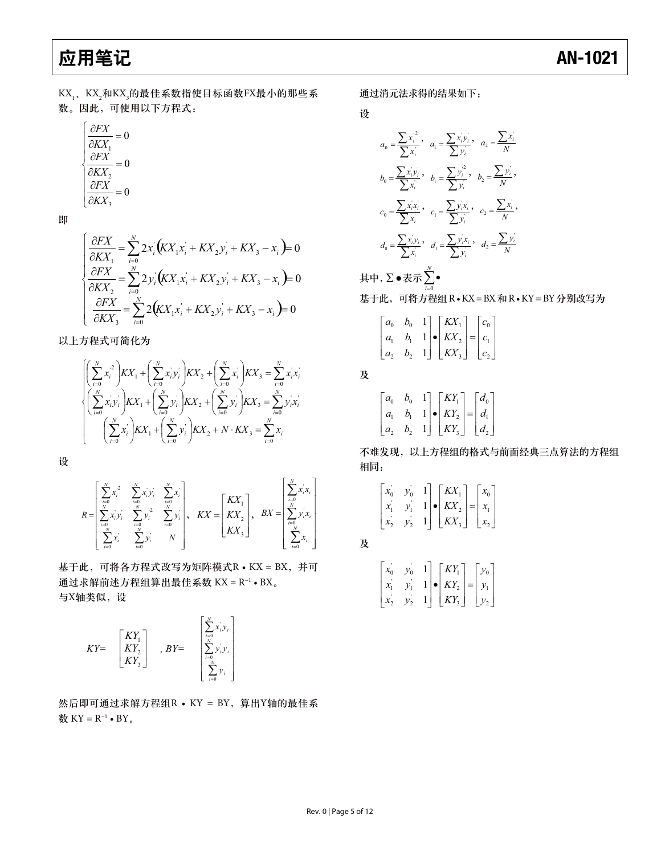KX<sub>1</sub>、KX<sub>2</sub>和KX¸的最佳系数指使目标函数FX最小的那些系 数。因此,可使用以下方程式:

$$
\begin{cases}\n\frac{\partial FX}{\partial KX_1} = 0\\ \n\frac{\partial FX}{\partial KX_2} = 0\\ \n\frac{\partial FX}{\partial KX_3} = 0\n\end{cases}
$$

न

$$
\begin{cases}\n\frac{\partial FX}{\partial KX_1} = \sum_{i=0}^{N} 2x_i (KX_1x_i + KX_2y_i + KX_3 - x_i) = 0 \\
\frac{\partial FX}{\partial KX_2} = \sum_{i=0}^{N} 2y_i (KX_1x_i + KX_2y_i + KX_3 - x_i) = 0 \\
\frac{\partial FX}{\partial KX_3} = \sum_{i=0}^{N} 2(KX_1x_i + KX_2y_i + KX_3 - x_i) = 0\n\end{cases}
$$

以上方程式可简化为

$$
\begin{cases}\n\left(\sum_{i=0}^{N} x_i^2\right) K X_1 + \left(\sum_{i=0}^{N} x_i y_i\right) K X_2 + \left(\sum_{i=0}^{N} x_i\right) K X_3 = \sum_{i=0}^{N} x_i x_i \\
\left(\sum_{i=0}^{N} x_i y_i\right) K X_1 + \left(\sum_{i=0}^{N} y_i\right) K X_2 + \left(\sum_{i=0}^{N} y_i\right) K X_3 = \sum_{i=0}^{N} y_i x_i \\
\left(\sum_{i=0}^{N} x_i\right) K X_1 + \left(\sum_{i=0}^{N} y_i\right) K X_2 + N \cdot K X_3 = \sum_{i=0}^{N} x_i\n\end{cases}
$$

设

$$
R = \begin{bmatrix} \sum_{i=0}^{N} x_i^2 & \sum_{i=0}^{N} x_i y_i & \sum_{i=0}^{N} x_i \\ \sum_{i=0}^{N} x_i y_i & \sum_{i=0}^{N} y_i^2 & \sum_{i=0}^{N} y_i \end{bmatrix}, \quad KX = \begin{bmatrix} KX_1 \\ KX_2 \\ KX_3 \end{bmatrix}, \quad BX = \begin{bmatrix} \sum_{i=0}^{N} x_i x_i \\ \sum_{i=0}^{N} y_i x_i \\ \sum_{i=0}^{N} x_i \end{bmatrix}
$$

基于此,可将各方程式改写为矩阵模式R · KX = BX, 并可 通过求解前述方程组算出最佳系数 KX = R<sup>-1</sup> • BX。 与X轴类似,设

$$
KY = \begin{bmatrix} KY_1 \\ KY_2 \\ KY_3 \end{bmatrix}, BY = \begin{bmatrix} \sum_{i=0}^{N} x_i^i y_i \\ \sum_{i=0}^{N} y_i^i y_i \\ \sum_{i=0}^{N} y_i \end{bmatrix}
$$

然后即可通过求解方程组R · KY = BY, 算出Y轴的最佳系 数 KY =  $R^{-1}$  • BY 。

通过消元法求得的结果如下:

设

$$
a_0 = \frac{\sum x_i^2}{\sum x_i}, \quad a_1 = \frac{\sum x_i y_i}{\sum y_i}, \quad a_2 = \frac{\sum x_i}{N}
$$

$$
b_0 = \frac{\sum x_i y_i}{\sum x_i}, \quad b_1 = \frac{\sum y_i^2}{\sum y_i}, \quad b_2 = \frac{\sum y_i}{N}
$$

$$
c_0 = \frac{\sum x_i x_i}{\sum x_i}, \quad c_1 = \frac{\sum y_i x_i}{\sum y_i}, \quad c_2 = \frac{\sum x_i}{N}
$$

$$
d_0 = \frac{\sum x_i y_i}{\sum x_i}, \quad d_1 = \frac{\sum y_i x_i}{\sum y_i}, \quad d_2 = \frac{\sum y_i}{N}
$$

其中, Σ • 表示 ∑ •<br># 基于此,可将方程组R·KX=BX和R·KY=BY分别改写为  $i = 0$ 

|  | $\begin{bmatrix} a_0 & b_0 & 1 \\ a_1 & b_1 & 1 \\ a_2 & b_2 & 1 \end{bmatrix} \bullet \begin{bmatrix} K X_1 \\ K X_2 \\ K X_3 \end{bmatrix} = \begin{bmatrix} c_0 \\ c_1 \\ c_2 \end{bmatrix}$ |  |
|--|-------------------------------------------------------------------------------------------------------------------------------------------------------------------------------------------------|--|
|  |                                                                                                                                                                                                 |  |

 $\overline{\mathcal{R}}$ 

|  |  | $\begin{bmatrix} a_0 & b_0 & 1 \\ a_1 & b_1 & 1 \\ a_2 & b_2 & 1 \end{bmatrix} \bullet \begin{bmatrix} KY_1 \\ KY_2 \\ KY_3 \end{bmatrix} = \begin{bmatrix} d_0 \\ d_1 \\ d_2 \end{bmatrix}$ |  |
|--|--|----------------------------------------------------------------------------------------------------------------------------------------------------------------------------------------------|--|
|  |  |                                                                                                                                                                                              |  |

不难发现, 以上方程组的格式与前面经典三点算法的方程组 相同:

|  | $\mathbf{L}$ | $K\!X_+$   |     |                 |
|--|--------------|------------|-----|-----------------|
|  |              | $K\!X_2$   | $=$ | $\mathcal{X}_1$ |
|  | 11           | $K\!X_{3}$ |     |                 |

 $\overline{\mathcal{R}}$ 

| $x_{0}$ | $y_{0}$ | $KY_1$                      | $y_0$     |
|---------|---------|-----------------------------|-----------|
|         |         | $ \bullet $ $KY_2  =  y_1 $ |           |
|         |         | $KY_{3}$                    | $ y_{2} $ |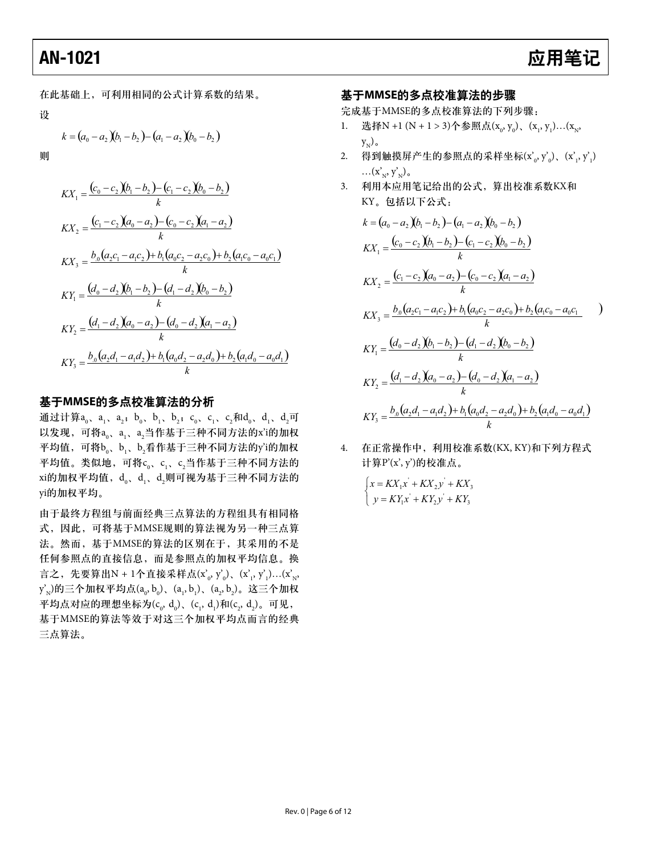### **AN-1021**

### 应用笔记

在此基础上,可利用相同的公式计算系数的结果。

设

$$
k = (a_0 - a_2)(b_1 - b_2) - (a_1 - a_2)(b_0 - b_2)
$$

则

$$
KX_1 = \frac{(c_0 - c_2)(b_1 - b_2) - (c_1 - c_2)(b_0 - b_2)}{k}
$$
  
\n
$$
KX_2 = \frac{(c_1 - c_2)(a_0 - a_2) - (c_0 - c_2)(a_1 - a_2)}{k}
$$
  
\n
$$
KX_3 = \frac{b_0(a_2c_1 - a_1c_2) + b_1(a_0c_2 - a_2c_0) + b_2(a_1c_0 - a_0c_1)}{k}
$$
  
\n
$$
KY_1 = \frac{(d_0 - d_2)(b_1 - b_2) - (d_1 - d_2)(b_0 - b_2)}{k}
$$
  
\n
$$
KY_2 = \frac{(d_1 - d_2)(a_0 - a_2) - (d_0 - d_2)(a_1 - a_2)}{k}
$$
  
\n
$$
KY_3 = \frac{b_0(a_2d_1 - a_1d_2) + b_1(a_0d_2 - a_2d_0) + b_2(a_1d_0 - a_0d_1)}{k}
$$

#### 基于MMSE的多点校准算法的分析

通过计算a<sub>0</sub>, a<sub>1</sub>, a<sub>2</sub>; b<sub>0</sub>, b<sub>1</sub>, b<sub>2</sub>; c<sub>0</sub>, c<sub>1</sub>, c<sub>2</sub>和d<sub>0</sub>, d<sub>1</sub>, d<sub>2</sub>可 以发现,可将a 。a 、a 当作基于三种不同方法的x'i的加权 平均值,可将b。b、b,看作基于三种不同方法的y'i的加权 平均值。类似地,可将c 。c 、c 当作基于三种不同方法的 xi的加权平均值, do, d, d,则可视为基于三种不同方法的 yi的加权平均。

由于最终方程组与前面经典三点算法的方程组具有相同格 式, 因此, 可将基于MMSE规则的算法视为另一种三点算 法。然而, 基于MMSE的算法的区别在于, 其采用的不是 任何参照点的直接信息,而是参照点的加权平均信息。换 言之, 先要算出N + 1个直接采样点(x'<sub>o</sub>, y'<sub>o</sub>)、(x', y'<sub>i</sub>)...(x'<sub>N</sub>,  $y'_{N}$ )的三个加权平均点 $(a_{0}, b_{0})$ 、 $(a_{1}, b_{1})$ 、 $(a_{2}, b_{2})$ 。这三个加权 平均点对应的理想坐标为 $(c_0, d_0)$ ,  $(c_1, d_1)$ 和 $(c_2, d_2)$ 。可见, 基于MMSE的算法等效于对这三个加权平均点而言的经典 三点算法。

#### 基于MMSE的多点校准算法的步骤

完成基于MMSE的多点校准算法的下列步骤:

- 1. 选择N +1 (N + 1 > 3)个参照点(x<sub>0</sub>, y<sub>0</sub>), (x<sub>1</sub>, y<sub>1</sub>)...(x<sub>N</sub>,  $y_{N}$ ).
- 2. 得到触摸屏产生的参照点的采样坐标 $(x_0, y_0)$ 、 $(x', y_0)$  $...(x'_{N}, y'_{N})_{\circ}$
- 3. 利用本应用笔记给出的公式, 算出校准系数KX和 KY。包括以下公式:

$$
k = (a_0 - a_2)(b_1 - b_2) - (a_1 - a_2)(b_0 - b_2)
$$
  
\n
$$
KX_1 = \frac{(c_0 - c_2)(b_1 - b_2) - (c_1 - c_2)(b_0 - b_2)}{k}
$$
  
\n
$$
KX_2 = \frac{(c_1 - c_2)(a_0 - a_2) - (c_0 - c_2)(a_1 - a_2)}{k}
$$
  
\n
$$
KX_3 = \frac{b_0(a_2c_1 - a_1c_2) + b_1(a_0c_2 - a_2c_0) + b_2(a_1c_0 - a_0c_1)}{k}
$$
  
\n
$$
KY_1 = \frac{(d_0 - d_2)(b_1 - b_2) - (d_1 - d_2)(b_0 - b_2)}{k}
$$
  
\n
$$
KY_2 = \frac{(d_1 - d_2)(a_0 - a_2) - (d_0 - d_2)(a_1 - a_2)}{k}
$$
  
\n
$$
KY_3 = \frac{b_0(a_2d_1 - a_1d_2) + b_1(a_0d_2 - a_2d_0) + b_2(a_1d_0 - a_0d_1)}{k}
$$

4. 在正常操作中, 利用校准系数(KX, KY)和下列方程式 计算P'(x', y')的校准点。

$$
\begin{cases} x = K X_1 x' + K X_2 y' + K X_3 \\ y = K Y_1 x' + K Y_2 y' + K Y_3 \end{cases}
$$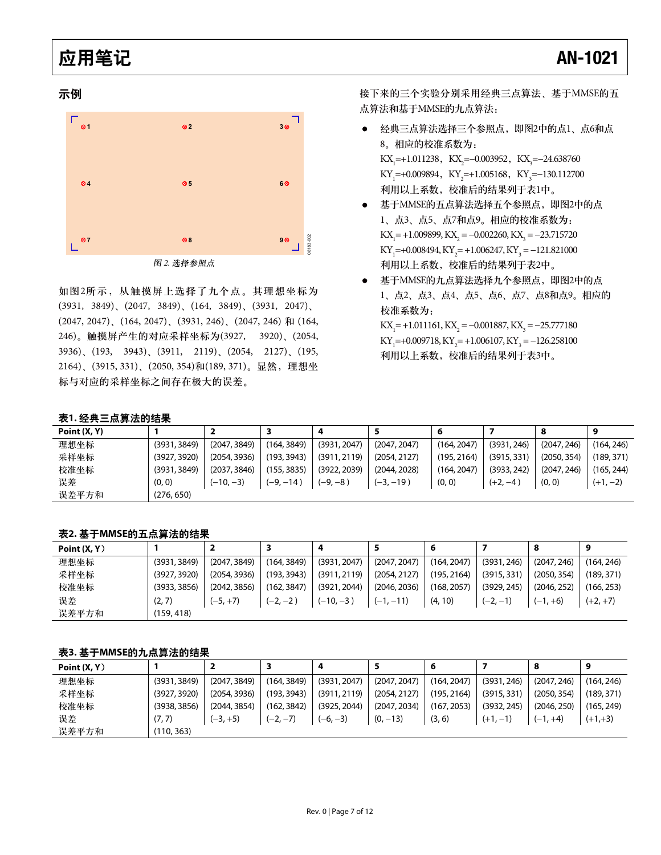#### 示例



图 2. 选择参照点

如图2所示, 从触摸屏上选择了九个点。其理想坐标为  $(3931, 3849), (2047, 3849), (164, 3849), (3931, 2047),$ (2047, 2047), (164, 2047), (3931, 246), (2047, 246) 和 (164, 246)。触摸屏产生的对应采样坐标为(3927, 3920)、(2054, 3936), (193, 3943), (3911, 2119), (2054, 2127), (195, 2164)、(3915, 331)、(2050, 354)和(189, 371)。显然,理想坐 标与对应的采样坐标之间存在极大的误差。

接下来的三个实验分别采用经典三点算法、基于MMSE的五 点算法和基于MMSE的九点算法:

- 经典三点算法选择三个参照点, 即图2中的点1、点6和点 8。相应的校准系数为:  $\text{KX}_{1}$ =+1.011238,  $\text{KX}_{2}$ =-0.003952,  $\text{KX}_{3}$ =-24.638760 KY<sub>1</sub>=+0.009894, KY<sub>2</sub>=+1.005168, KY<sub>3</sub>=-130.112700 利用以上系数, 校准后的结果列于表1中。
- 基于MMSE的五点算法选择五个参照点, 即图2中的点 1、点3、点5、点7和点9。相应的校准系数为:  $\text{KX}_{1}$ = +1.009899,  $\text{KX}_{2}$  = -0.002260,  $\text{KX}_{3}$  = -23.715720  $KY_1=+0.008494, KY_2=+1.006247, KY_3=-121.821000$ 利用以上系数, 校准后的结果列于表2中。
- 基于MMSE的九点算法选择九个参照点, 即图2中的点 1、点2、点3、点4、点5、点6、点7、点8和点9。相应的 校准系数为:  $\text{KX}_{1}$ = +1.011161,  $\text{KX}_{2}$  = -0.001887,  $\text{KX}_{3}$  = -25.777180  $KY_1=+0.009718, KY_2=+1.006107, KY_3=-126.258100$ 利用以上系数, 校准后的结果列于表3中。

#### 表1. 经典三点算法的结果

| Point $(X, Y)$ |              |              |             | 4            |              |             |             | 8           | 9          |
|----------------|--------------|--------------|-------------|--------------|--------------|-------------|-------------|-------------|------------|
| 理想坐标           | (3931, 3849) | (2047, 3849) | (164, 3849) | (3931, 2047) | (2047, 2047) | (164, 2047) | (3931, 246) | (2047, 246) | (164, 246) |
| 采样坐标           | (3927, 3920) | (2054, 3936) | (193, 3943) | (3911, 2119) | (2054, 2127) | (195, 2164) | (3915, 331) | (2050, 354) | (189, 371) |
| 校准坐标           | (3931, 3849) | (2037, 3846) | (155, 3835) | (3922, 2039) | (2044, 2028) | (164, 2047) | (3933, 242) | (2047, 246) | (165, 244) |
| 误差             | (0, 0)       | $(-10,-3)$   | $(-9, -14)$ | (–9, –8 )    | $(-3, -19)$  | (0, 0)      | $(+2, -4)$  | (0, 0)      | $(+1, -2)$ |
| 误差平方和          | (276, 650)   |              |             |              |              |             |             |             |            |
|                |              |              |             |              |              |             |             |             |            |

表2. 基于MMSE的五点算法的结果

| Point $(X, Y)$ |              |              |             | 4            |              | 6           |             | -8          | 9          |
|----------------|--------------|--------------|-------------|--------------|--------------|-------------|-------------|-------------|------------|
| 理想坐标           | (3931, 3849) | (2047, 3849) | (164, 3849) | (3931, 2047) | (2047, 2047) | (164, 2047) | (3931, 246) | (2047, 246) | (164, 246) |
| 采样坐标           | (3927, 3920) | (2054, 3936) | (193, 3943) | (3911, 2119) | (2054, 2127) | (195, 2164) | (3915, 331) | (2050, 354) | (189, 371) |
| 校准坐标           | (3933, 3856) | (2042, 3856) | (162, 3847) | (3921, 2044) | (2046, 2036) | (168, 2057) | (3929, 245) | (2046, 252) | (166, 253) |
| 误差             | (2, 7)       | $(-5, +7)$   | $(-2, -2)$  | $(-10,-3)$   | $(-1, -11)$  | (4, 10)     | $(-2, -1)$  | $(-1, +6)$  | $(+2, +7)$ |
| 误差平方和          | (159, 418)   |              |             |              |              |             |             |             |            |

#### 表3. 基于MMSE的九点算法的结果

| Point $(X, Y)$ |              |              |             | 4            |              | 6           |             | 8           | 9          |
|----------------|--------------|--------------|-------------|--------------|--------------|-------------|-------------|-------------|------------|
| 理想坐标           | (3931, 3849) | (2047, 3849) | (164, 3849) | (3931, 2047) | (2047, 2047) | (164, 2047) | (3931, 246) | (2047, 246) | (164, 246) |
| 采样坐标           | (3927, 3920) | (2054, 3936) | (193, 3943) | (3911, 2119) | (2054, 2127) | (195, 2164) | (3915, 331) | (2050, 354) | (189, 371) |
| 校准坐标           | (3938, 3856) | (2044, 3854) | (162, 3842) | (3925, 2044) | (2047, 2034) | (167, 2053) | (3932, 245) | (2046, 250) | (165, 249) |
| 误差             | (7, 7)       | $(-3, +5)$   | $(-2, -7)$  | $(-6, -3)$   | $(0, -13)$   | (3, 6)      | $(+1,-1)$   | $(-1, +4)$  | $(+1,+3)$  |
| 误差平方和          | (110, 363)   |              |             |              |              |             |             |             |            |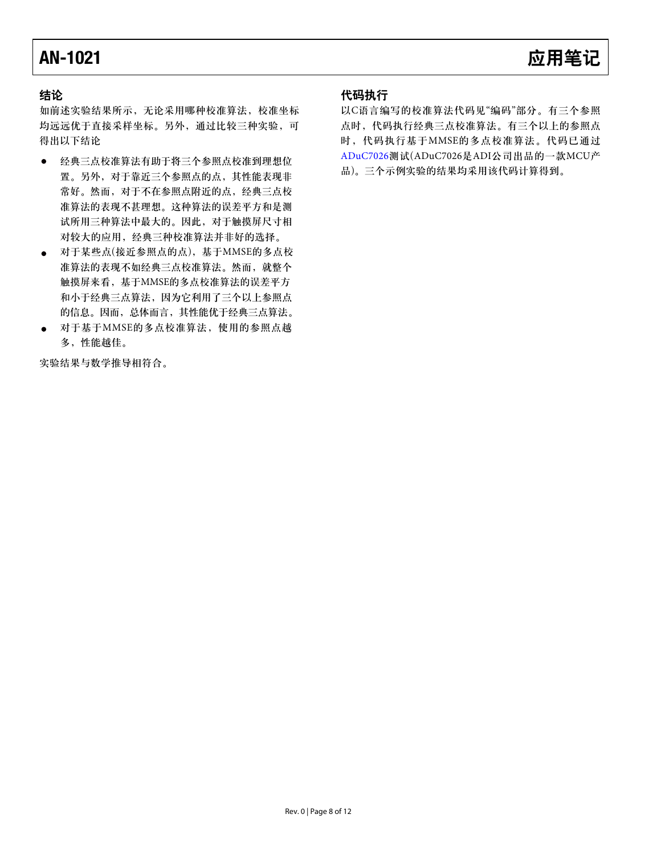### **AN-1021**

### 结论

如前述实验结果所示, 无论采用哪种校准算法, 校准坐标 均远远优于直接采样坐标。另外,通过比较三种实验,可 得出以下结论

- 经典三点校准算法有助于将三个参照点校准到理想位  $\bullet$ 置。另外, 对于靠近三个参照点的点, 其性能表现非 常好。然而, 对于不在参照点附近的点, 经典三点校 准算法的表现不甚理想。这种算法的误差平方和是测 试所用三种算法中最大的。因此, 对于触摸屏尺寸相 对较大的应用, 经典三种校准算法并非好的选择。
- 对于某些点(接近参照点的点), 基于MMSE的多点校  $\bullet$ 准算法的表现不如经典三点校准算法。然而, 就整个 触摸屏来看, 基于MMSE的多点校准算法的误差平方 和小于经典三点算法, 因为它利用了三个以上参照点 的信息。因而, 总体而言, 其性能优于经典三点算法。
- 对于基于MMSE的多点校准算法, 使用的参照点越 多,性能越佳。

实验结果与数学推导相符合。

### 代码执行

以C语言编写的校准算法代码见"编码"部分。有三个参照 点时,代码执行经典三点校准算法。有三个以上的参照点 时,代码执行基于MMSE的多点校准算法。代码已通过 ADuC7026测试(ADuC7026是ADI公司出品的一款MCU产 品)。三个示例实验的结果均采用该代码计算得到。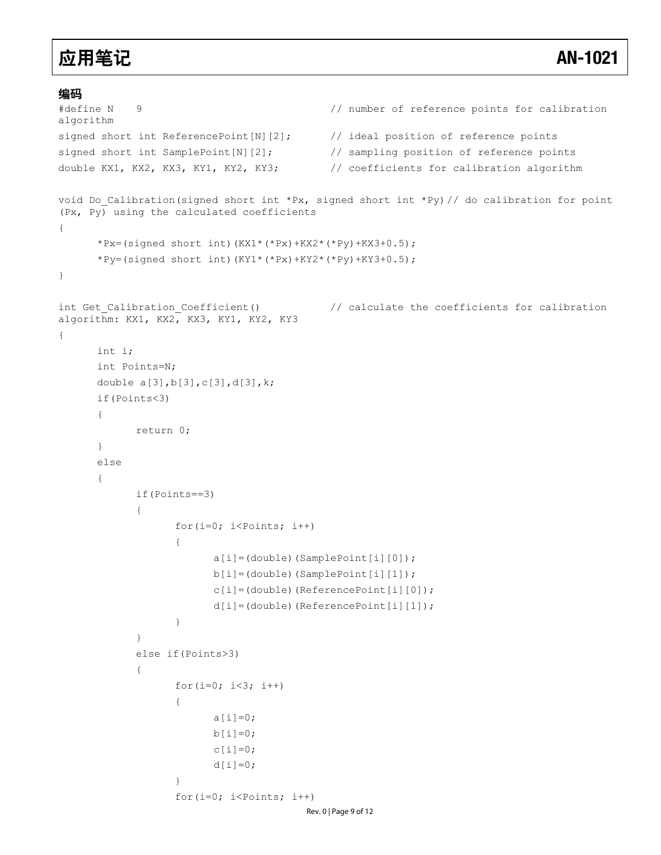#### 编码

```
#define N 9 // number of reference points for calibration 
algorithm
signed short int ReferencePoint[N][2]; // ideal position of reference points
signed short int SamplePoint[N][2]; // sampling position of reference points
double KX1, KX2, KX3, KY1, KY2, KY3; // coefficients for calibration algorithm 
void Do Calibration(signed short int *Px, signed short int *Py) // do calibration for point
(Px, Py) using the calculated coefficients
{
      *Px=(signed short int)(KX1*(*Px)+KX2*(*Py)+KX3+0.5); 
     *Py=(signed short int)(KY1*(*Px)+KY2*(*Py)+KY3+0.5);
}
int Get Calibration Coefficient() \frac{1}{2} // calculate the coefficients for calibration
algorithm: KX1, KX2, KX3, KY1, KY2, KY3 
{
      int i; 
      int Points=N; 
      double a[3],b[3],c[3],d[3],k; 
      if(Points<3) 
      { 
            return 0; 
      } 
      else 
      { 
            if(Points==3) 
\{ for(i=0; i<Points; i++) 
{
                        a[i]=(double)(SamplePoint[i][0]); 
                        b[i]=(double)(SamplePoint[i][1]); 
                        c[i]=(double)(ReferencePoint[i][0]); 
                        d[i]=(double)(ReferencePoint[i][1]); 
 } 
 } 
            else if(Points>3) 
\{for(i=0; i<3; i++)
{
                       a[i]=0;b[i]=0;c[i]=0;d[i]=0; } 
                 for(i=0; i<Points; i++)
                                     Rev. 0 | Page 9 of 12
```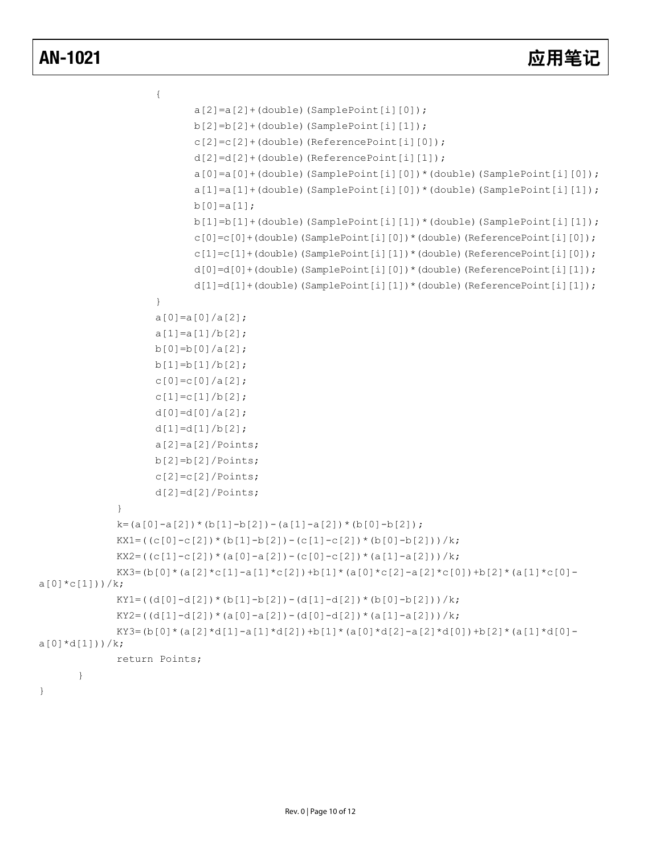}

```
\{a[2]=a[2]+(double) (SamplePoint[i][0]);
                          b[2]=b[2]+(double)(SamplePoint[i][1]); 
                          c[2]=c[2]+(double)(ReferencePoint[i][0]); 
                          d[2]=d[2]+(double)(ReferencePoint[i][1]); 
                         a[0]=a[0]+(double) (SamplePoint[i][0]) * (double) (SamplePoint[i][0]);
                          a[1]=a[1]+(double)(SamplePoint[i][0])*(double)(SamplePoint[i][1]); 
                         b[0] = a[1];
                         b[1]=b[1]+(double) (SamplePoint[i][1])* (double) (SamplePoint[i][1]);
                          c[0]=c[0]+(double)(SamplePoint[i][0])*(double)(ReferencePoint[i][0]); 
                          c[1]=c[1]+(double)(SamplePoint[i][1])*(double)(ReferencePoint[i][0]); 
                          d[0]=d[0]+(double)(SamplePoint[i][0])*(double)(ReferencePoint[i][1]); 
                          d[1]=d[1]+(double)(SamplePoint[i][1])*(double)(ReferencePoint[i][1]); 
 } 
                    a[0]=a[0]/a[2]; 
                   a[1]=a[1]/b[2];
                   b[0] = b[0]/a[2];
                   b[1]=b[1]/b[2];
                   c[0]=c[0]/a[2];
                   c[1]=c[1]/b[2];
                   d[0] = d[0]/a[2];
                   d[1]=d[1]/b[2];
                   a[2]=a[2]/Points;b[2]=b[2]/Points;c[2]=c[2]/Points;d[2]=d[2]/Points; } 
            k=(a[0]-a[2])*(b[1]-b[2])-(a[1]-a[2])*(b[0]-b[2]);
            KX1=((c[0]-c[2])*(b[1]-b[2])-(c[1]-c[2])*(b[0]-b[2]))/k;KX2=((c[1]-c[2])*(a[0]-a[2])-(c[0]-c[2])*(a[1]-a[2]))/k;
            KX3=(b[0]*(a[2]*c[1]-a[1]*c[2])+b[1]*(a[0]*c[2]-a[2]*c[0])+b[2]*(a[1]*c[0]-
a[0]*c[1]))/k;KY1=((d[0]-d[2])*(b[1]-b[2])-(d[1]-d[2])*(b[0]-b[2]))/k;
            KY2=((d[1]-d[2]) * (a[0]-a[2]) - (d[0]-d[2]) * (a[1]-a[2])) /k;
            KY3=(b[0]*(a[2]*d[1]-a[1]*d[2])+b[1]*(a[0]*d[2]-a[2]*d[0])+b[2]*(a[1]*d[0]-
a[0]*d[1]))/k; return Points; 
       }
```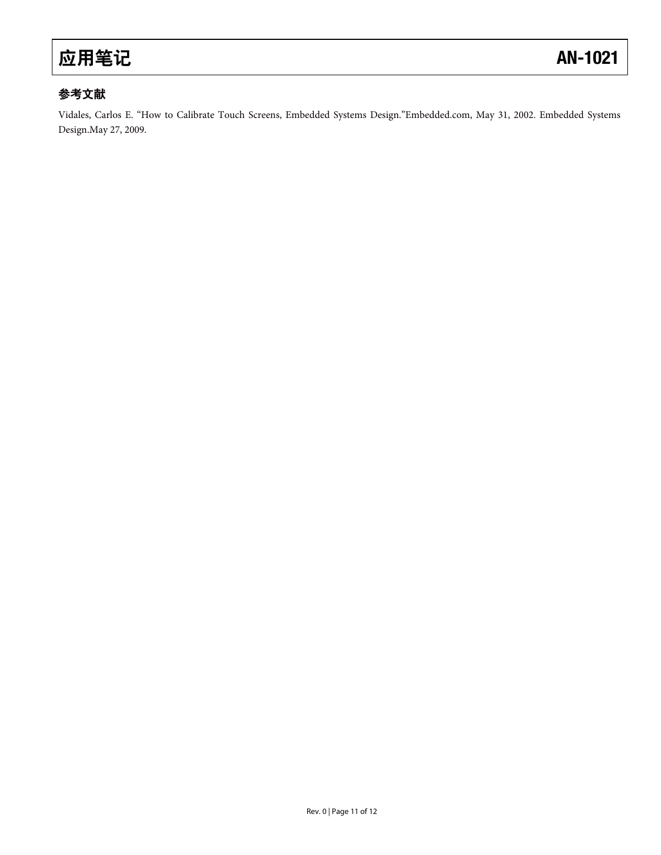### 参考文献

Vidales, Carlos E. "How to Calibrate Touch Screens, Embedded Systems Design."Embedded.com, May 31, 2002. Embedded Systems Design.May 27, 2009.